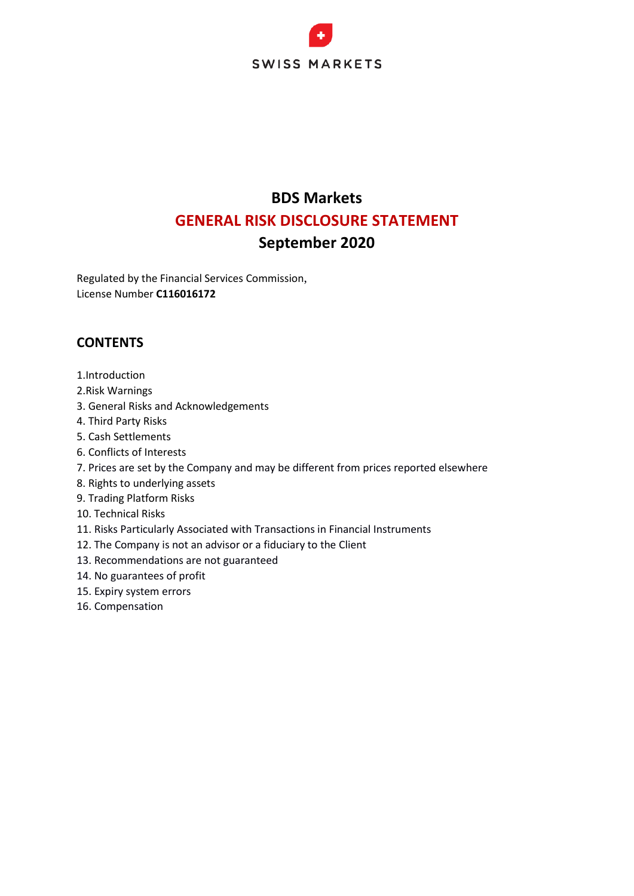

# **BDS Markets GENERAL RISK DISCLOSURE STATEMENT September 2020**

Regulated by the Financial Services Commission, License Number **C116016172**

# **CONTENTS**

- 1.Introduction
- 2.Risk Warnings
- 3. General Risks and Acknowledgements
- 4. Third Party Risks
- 5. Cash Settlements
- 6. Conflicts of Interests
- 7. Prices are set by the Company and may be different from prices reported elsewhere
- 8. Rights to underlying assets
- 9. Trading Platform Risks
- 10. Technical Risks
- 11. Risks Particularly Associated with Transactions in Financial Instruments
- 12. The Company is not an advisor or a fiduciary to the Client
- 13. Recommendations are not guaranteed
- 14. No guarantees of profit
- 15. Expiry system errors
- 16. Compensation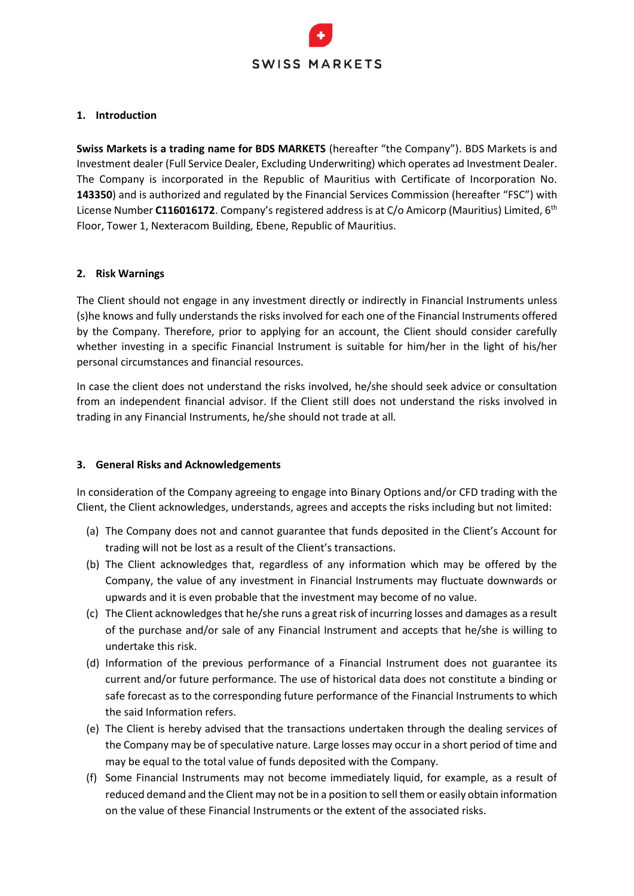

#### **1. Introduction**

**Swiss Markets is a trading name for BDS MARKETS** (hereafter "the Company"). BDS Markets is and Investment dealer (Full Service Dealer, Excluding Underwriting) which operates ad Investment Dealer. The Company is incorporated in the Republic of Mauritius with Certificate of Incorporation No. **143350**) and is authorized and regulated by the Financial Services Commission (hereafter "FSC") with License Number **C116016172**. Company's registered address is at C/o Amicorp (Mauritius) Limited, 6th Floor, Tower 1, Nexteracom Building, Ebene, Republic of Mauritius.

#### **2. Risk Warnings**

The Client should not engage in any investment directly or indirectly in Financial Instruments unless (s)he knows and fully understands the risks involved for each one of the Financial Instruments offered by the Company. Therefore, prior to applying for an account, the Client should consider carefully whether investing in a specific Financial Instrument is suitable for him/her in the light of his/her personal circumstances and financial resources.

In case the client does not understand the risks involved, he/she should seek advice or consultation from an independent financial advisor. If the Client still does not understand the risks involved in trading in any Financial Instruments, he/she should not trade at all.

#### **3. General Risks and Acknowledgements**

In consideration of the Company agreeing to engage into Binary Options and/or CFD trading with the Client, the Client acknowledges, understands, agrees and accepts the risks including but not limited:

- (a) The Company does not and cannot guarantee that funds deposited in the Client's Account for trading will not be lost as a result of the Client's transactions.
- (b) The Client acknowledges that, regardless of any information which may be offered by the Company, the value of any investment in Financial Instruments may fluctuate downwards or upwards and it is even probable that the investment may become of no value.
- (c) The Client acknowledges that he/she runs a great risk of incurring losses and damages as a result of the purchase and/or sale of any Financial Instrument and accepts that he/she is willing to undertake this risk.
- (d) Information of the previous performance of a Financial Instrument does not guarantee its current and/or future performance. The use of historical data does not constitute a binding or safe forecast as to the corresponding future performance of the Financial Instruments to which the said Information refers.
- (e) The Client is hereby advised that the transactions undertaken through the dealing services of the Company may be of speculative nature. Large losses may occur in a short period of time and may be equal to the total value of funds deposited with the Company.
- (f) Some Financial Instruments may not become immediately liquid, for example, as a result of reduced demand and the Client may not be in a position to sell them or easily obtain information on the value of these Financial Instruments or the extent of the associated risks.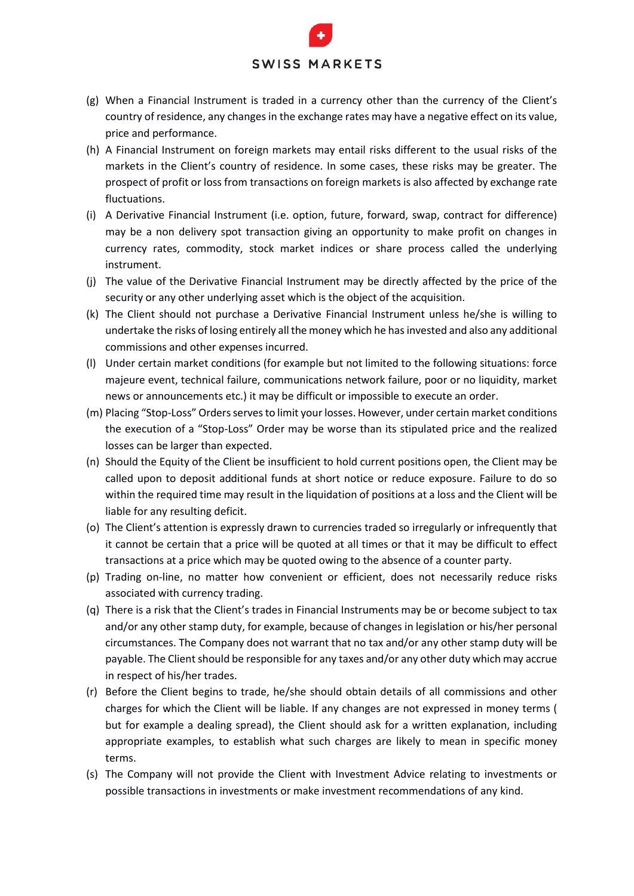- (g) When a Financial Instrument is traded in a currency other than the currency of the Client's country of residence, any changes in the exchange rates may have a negative effect on its value, price and performance.
- (h) A Financial Instrument on foreign markets may entail risks different to the usual risks of the markets in the Client's country of residence. In some cases, these risks may be greater. The prospect of profit or loss from transactions on foreign markets is also affected by exchange rate fluctuations.
- (i) A Derivative Financial Instrument (i.e. option, future, forward, swap, contract for difference) may be a non delivery spot transaction giving an opportunity to make profit on changes in currency rates, commodity, stock market indices or share process called the underlying instrument.
- (j) The value of the Derivative Financial Instrument may be directly affected by the price of the security or any other underlying asset which is the object of the acquisition.
- (k) The Client should not purchase a Derivative Financial Instrument unless he/she is willing to undertake the risks of losing entirely all the money which he has invested and also any additional commissions and other expenses incurred.
- (l) Under certain market conditions (for example but not limited to the following situations: force majeure event, technical failure, communications network failure, poor or no liquidity, market news or announcements etc.) it may be difficult or impossible to execute an order.
- (m) Placing "Stop-Loss" Orders serves to limit your losses. However, under certain market conditions the execution of a "Stop-Loss" Order may be worse than its stipulated price and the realized losses can be larger than expected.
- (n) Should the Equity of the Client be insufficient to hold current positions open, the Client may be called upon to deposit additional funds at short notice or reduce exposure. Failure to do so within the required time may result in the liquidation of positions at a loss and the Client will be liable for any resulting deficit.
- (o) The Client's attention is expressly drawn to currencies traded so irregularly or infrequently that it cannot be certain that a price will be quoted at all times or that it may be difficult to effect transactions at a price which may be quoted owing to the absence of a counter party.
- (p) Trading on-line, no matter how convenient or efficient, does not necessarily reduce risks associated with currency trading.
- (q) There is a risk that the Client's trades in Financial Instruments may be or become subject to tax and/or any other stamp duty, for example, because of changes in legislation or his/her personal circumstances. The Company does not warrant that no tax and/or any other stamp duty will be payable. The Client should be responsible for any taxes and/or any other duty which may accrue in respect of his/her trades.
- (r) Before the Client begins to trade, he/she should obtain details of all commissions and other charges for which the Client will be liable. If any changes are not expressed in money terms ( but for example a dealing spread), the Client should ask for a written explanation, including appropriate examples, to establish what such charges are likely to mean in specific money terms.
- (s) The Company will not provide the Client with Investment Advice relating to investments or possible transactions in investments or make investment recommendations of any kind.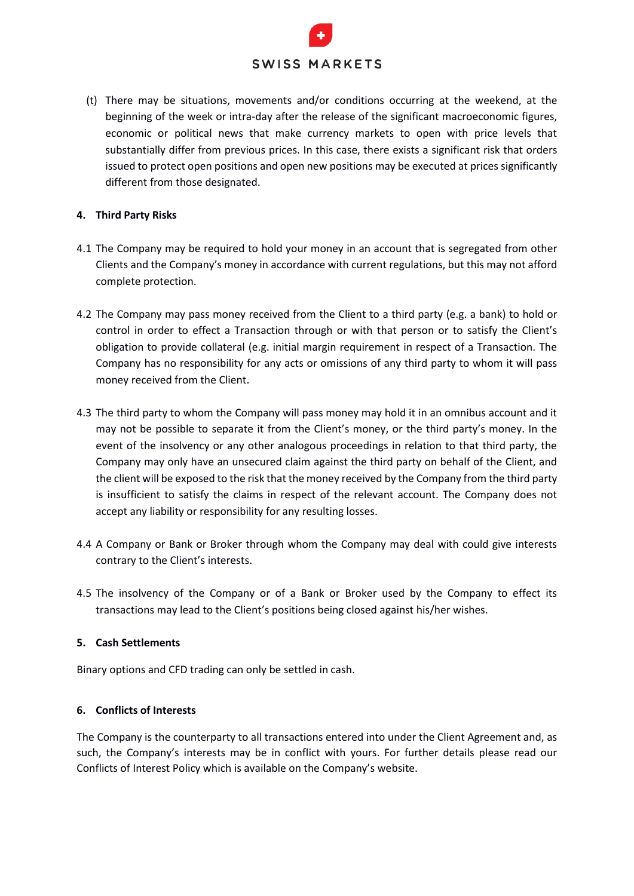(t) There may be situations, movements and/or conditions occurring at the weekend, at the beginning of the week or intra-day after the release of the significant macroeconomic figures, economic or political news that make currency markets to open with price levels that substantially differ from previous prices. In this case, there exists a significant risk that orders issued to protect open positions and open new positions may be executed at prices significantly different from those designated.

#### **4. Third Party Risks**

- 4.1 The Company may be required to hold your money in an account that is segregated from other Clients and the Company's money in accordance with current regulations, but this may not afford complete protection.
- 4.2 The Company may pass money received from the Client to a third party (e.g. a bank) to hold or control in order to effect a Transaction through or with that person or to satisfy the Client's obligation to provide collateral (e.g. initial margin requirement in respect of a Transaction. The Company has no responsibility for any acts or omissions of any third party to whom it will pass money received from the Client.
- 4.3 The third party to whom the Company will pass money may hold it in an omnibus account and it may not be possible to separate it from the Client's money, or the third party's money. In the event of the insolvency or any other analogous proceedings in relation to that third party, the Company may only have an unsecured claim against the third party on behalf of the Client, and the client will be exposed to the risk that the money received by the Company from the third party is insufficient to satisfy the claims in respect of the relevant account. The Company does not accept any liability or responsibility for any resulting losses.
- 4.4 A Company or Bank or Broker through whom the Company may deal with could give interests contrary to the Client's interests.
- 4.5 The insolvency of the Company or of a Bank or Broker used by the Company to effect its transactions may lead to the Client's positions being closed against his/her wishes.

#### **5. Cash Settlements**

Binary options and CFD trading can only be settled in cash.

#### **6. Conflicts of Interests**

The Company is the counterparty to all transactions entered into under the Client Agreement and, as such, the Company's interests may be in conflict with yours. For further details please read our Conflicts of Interest Policy which is available on the Company's website.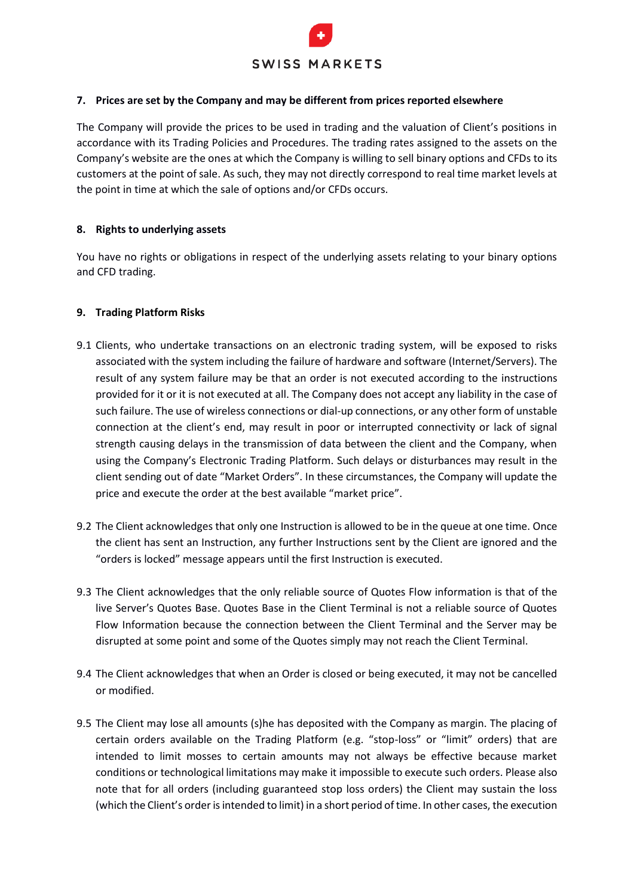

#### **7. Prices are set by the Company and may be different from prices reported elsewhere**

The Company will provide the prices to be used in trading and the valuation of Client's positions in accordance with its Trading Policies and Procedures. The trading rates assigned to the assets on the Company's website are the ones at which the Company is willing to sell binary options and CFDs to its customers at the point of sale. As such, they may not directly correspond to real time market levels at the point in time at which the sale of options and/or CFDs occurs.

#### **8. Rights to underlying assets**

You have no rights or obligations in respect of the underlying assets relating to your binary options and CFD trading.

#### **9. Trading Platform Risks**

- 9.1 Clients, who undertake transactions on an electronic trading system, will be exposed to risks associated with the system including the failure of hardware and software (Internet/Servers). The result of any system failure may be that an order is not executed according to the instructions provided for it or it is not executed at all. The Company does not accept any liability in the case of such failure. The use of wireless connections or dial-up connections, or any other form of unstable connection at the client's end, may result in poor or interrupted connectivity or lack of signal strength causing delays in the transmission of data between the client and the Company, when using the Company's Electronic Trading Platform. Such delays or disturbances may result in the client sending out of date "Market Orders". In these circumstances, the Company will update the price and execute the order at the best available "market price".
- 9.2 The Client acknowledges that only one Instruction is allowed to be in the queue at one time. Once the client has sent an Instruction, any further Instructions sent by the Client are ignored and the "orders is locked" message appears until the first Instruction is executed.
- 9.3 The Client acknowledges that the only reliable source of Quotes Flow information is that of the live Server's Quotes Base. Quotes Base in the Client Terminal is not a reliable source of Quotes Flow Information because the connection between the Client Terminal and the Server may be disrupted at some point and some of the Quotes simply may not reach the Client Terminal.
- 9.4 The Client acknowledges that when an Order is closed or being executed, it may not be cancelled or modified.
- 9.5 The Client may lose all amounts (s)he has deposited with the Company as margin. The placing of certain orders available on the Trading Platform (e.g. "stop-loss" or "limit" orders) that are intended to limit mosses to certain amounts may not always be effective because market conditions or technological limitations may make it impossible to execute such orders. Please also note that for all orders (including guaranteed stop loss orders) the Client may sustain the loss (which the Client's order is intended to limit) in a short period of time. In other cases, the execution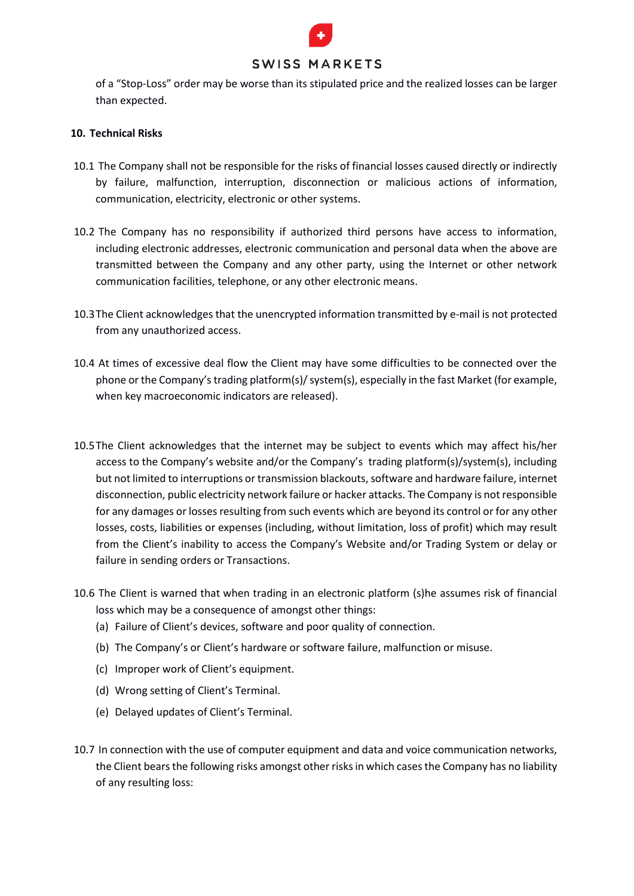

of a "Stop-Loss" order may be worse than its stipulated price and the realized losses can be larger than expected.

#### **10. Technical Risks**

- 10.1 The Company shall not be responsible for the risks of financial losses caused directly or indirectly by failure, malfunction, interruption, disconnection or malicious actions of information, communication, electricity, electronic or other systems.
- 10.2 The Company has no responsibility if authorized third persons have access to information, including electronic addresses, electronic communication and personal data when the above are transmitted between the Company and any other party, using the Internet or other network communication facilities, telephone, or any other electronic means.
- 10.3The Client acknowledges that the unencrypted information transmitted by e-mail is not protected from any unauthorized access.
- 10.4 At times of excessive deal flow the Client may have some difficulties to be connected over the phone or the Company's trading platform(s)/ system(s), especially in the fast Market (for example, when key macroeconomic indicators are released).
- 10.5The Client acknowledges that the internet may be subject to events which may affect his/her access to the Company's website and/or the Company's trading platform(s)/system(s), including but not limited to interruptions or transmission blackouts, software and hardware failure, internet disconnection, public electricity network failure or hacker attacks. The Company is not responsible for any damages or losses resulting from such events which are beyond its control or for any other losses, costs, liabilities or expenses (including, without limitation, loss of profit) which may result from the Client's inability to access the Company's Website and/or Trading System or delay or failure in sending orders or Transactions.
- 10.6 The Client is warned that when trading in an electronic platform (s)he assumes risk of financial loss which may be a consequence of amongst other things:
	- (a) Failure of Client's devices, software and poor quality of connection.
	- (b) The Company's or Client's hardware or software failure, malfunction or misuse.
	- (c) Improper work of Client's equipment.
	- (d) Wrong setting of Client's Terminal.
	- (e) Delayed updates of Client's Terminal.
- 10.7 In connection with the use of computer equipment and data and voice communication networks, the Client bears the following risks amongst other risks in which cases the Company has no liability of any resulting loss: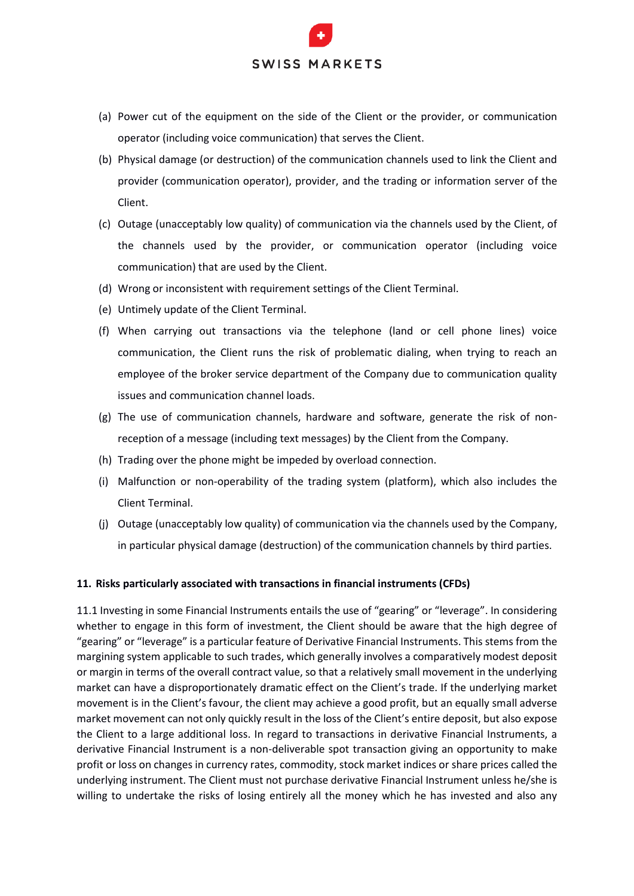- (a) Power cut of the equipment on the side of the Client or the provider, or communication operator (including voice communication) that serves the Client.
- (b) Physical damage (or destruction) of the communication channels used to link the Client and provider (communication operator), provider, and the trading or information server of the Client.
- (c) Outage (unacceptably low quality) of communication via the channels used by the Client, of the channels used by the provider, or communication operator (including voice communication) that are used by the Client.
- (d) Wrong or inconsistent with requirement settings of the Client Terminal.
- (e) Untimely update of the Client Terminal.
- (f) When carrying out transactions via the telephone (land or cell phone lines) voice communication, the Client runs the risk of problematic dialing, when trying to reach an employee of the broker service department of the Company due to communication quality issues and communication channel loads.
- (g) The use of communication channels, hardware and software, generate the risk of nonreception of a message (including text messages) by the Client from the Company.
- (h) Trading over the phone might be impeded by overload connection.
- (i) Malfunction or non-operability of the trading system (platform), which also includes the Client Terminal.
- (j) Outage (unacceptably low quality) of communication via the channels used by the Company, in particular physical damage (destruction) of the communication channels by third parties.

#### **11. Risks particularly associated with transactions in financial instruments (CFDs)**

11.1 Investing in some Financial Instruments entails the use of "gearing" or "leverage". In considering whether to engage in this form of investment, the Client should be aware that the high degree of "gearing" or "leverage" is a particular feature of Derivative Financial Instruments. This stems from the margining system applicable to such trades, which generally involves a comparatively modest deposit or margin in terms of the overall contract value, so that a relatively small movement in the underlying market can have a disproportionately dramatic effect on the Client's trade. If the underlying market movement is in the Client's favour, the client may achieve a good profit, but an equally small adverse market movement can not only quickly result in the loss of the Client's entire deposit, but also expose the Client to a large additional loss. In regard to transactions in derivative Financial Instruments, a derivative Financial Instrument is a non-deliverable spot transaction giving an opportunity to make profit or loss on changes in currency rates, commodity, stock market indices or share prices called the underlying instrument. The Client must not purchase derivative Financial Instrument unless he/she is willing to undertake the risks of losing entirely all the money which he has invested and also any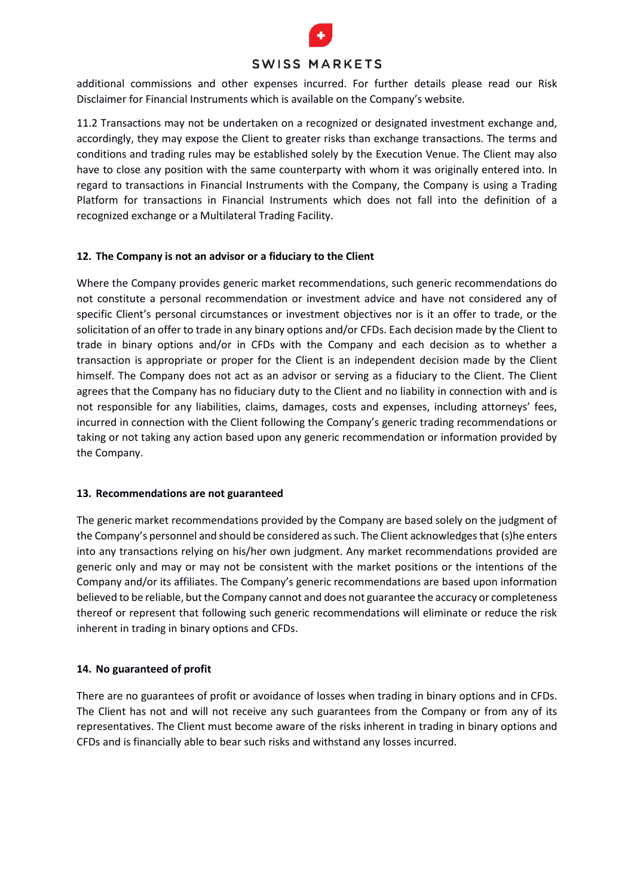

additional commissions and other expenses incurred. For further details please read our Risk Disclaimer for Financial Instruments which is available on the Company's website.

11.2 Transactions may not be undertaken on a recognized or designated investment exchange and, accordingly, they may expose the Client to greater risks than exchange transactions. The terms and conditions and trading rules may be established solely by the Execution Venue. The Client may also have to close any position with the same counterparty with whom it was originally entered into. In regard to transactions in Financial Instruments with the Company, the Company is using a Trading Platform for transactions in Financial Instruments which does not fall into the definition of a recognized exchange or a Multilateral Trading Facility.

#### **12. The Company is not an advisor or a fiduciary to the Client**

Where the Company provides generic market recommendations, such generic recommendations do not constitute a personal recommendation or investment advice and have not considered any of specific Client's personal circumstances or investment objectives nor is it an offer to trade, or the solicitation of an offer to trade in any binary options and/or CFDs. Each decision made by the Client to trade in binary options and/or in CFDs with the Company and each decision as to whether a transaction is appropriate or proper for the Client is an independent decision made by the Client himself. The Company does not act as an advisor or serving as a fiduciary to the Client. The Client agrees that the Company has no fiduciary duty to the Client and no liability in connection with and is not responsible for any liabilities, claims, damages, costs and expenses, including attorneys' fees, incurred in connection with the Client following the Company's generic trading recommendations or taking or not taking any action based upon any generic recommendation or information provided by the Company.

#### **13. Recommendations are not guaranteed**

The generic market recommendations provided by the Company are based solely on the judgment of the Company's personnel and should be considered as such. The Client acknowledges that (s)he enters into any transactions relying on his/her own judgment. Any market recommendations provided are generic only and may or may not be consistent with the market positions or the intentions of the Company and/or its affiliates. The Company's generic recommendations are based upon information believed to be reliable, but the Company cannot and does not guarantee the accuracy or completeness thereof or represent that following such generic recommendations will eliminate or reduce the risk inherent in trading in binary options and CFDs.

#### **14. No guaranteed of profit**

There are no guarantees of profit or avoidance of losses when trading in binary options and in CFDs. The Client has not and will not receive any such guarantees from the Company or from any of its representatives. The Client must become aware of the risks inherent in trading in binary options and CFDs and is financially able to bear such risks and withstand any losses incurred.